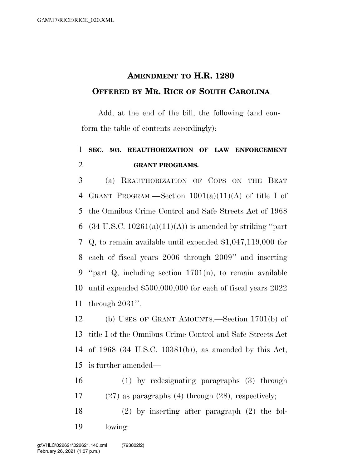## **AMENDMENT TO H.R. 1280 OFFERED BY MR. RICE OF SOUTH CAROLINA**

Add, at the end of the bill, the following (and conform the table of contents accordingly):

## **SEC. 503. REAUTHORIZATION OF LAW ENFORCEMENT GRANT PROGRAMS.**

 (a) REAUTHORIZATION OF COPS ON THE BEAT GRANT PROGRAM.—Section 1001(a)(11)(A) of title I of the Omnibus Crime Control and Safe Streets Act of 1968 6 (34 U.S.C.  $10261(a)(11)(A)$ ) is amended by striking "part Q, to remain available until expended \$1,047,119,000 for each of fiscal years 2006 through 2009'' and inserting ''part Q, including section 1701(n), to remain available until expended \$500,000,000 for each of fiscal years 2022 through 2031''.

 (b) USES OF GRANT AMOUNTS.—Section 1701(b) of title I of the Omnibus Crime Control and Safe Streets Act of 1968 (34 U.S.C. 10381(b)), as amended by this Act, is further amended—

 (1) by redesignating paragraphs (3) through (27) as paragraphs (4) through (28), respectively;

 (2) by inserting after paragraph (2) the fol-lowing: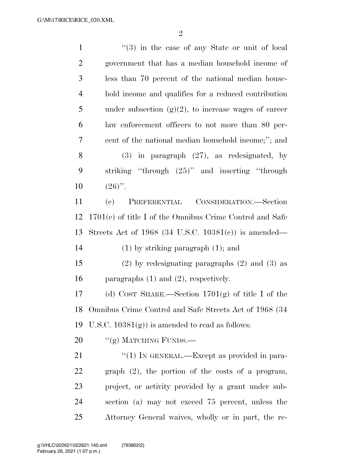| $\mathbf{1}$   | $(3)$ in the case of any State or unit of local            |
|----------------|------------------------------------------------------------|
| $\overline{2}$ | government that has a median household income of           |
| 3              | less than 70 percent of the national median house-         |
| $\overline{4}$ | hold income and qualifies for a reduced contribution       |
| 5              | under subsection $(g)(2)$ , to increase wages of career    |
| 6              | law enforcement officers to not more than 80 per-          |
| $\tau$         | cent of the national median household income;"; and        |
| 8              | in paragraph $(27)$ , as redesignated, by<br><b>(3)</b>    |
| 9              | striking "through (25)" and inserting "through             |
| 10             | $(26)$ ".                                                  |
| 11             | PREFERENTIAL CONSIDERATION.—Section<br>(e)                 |
| 12             | $1701(e)$ of title I of the Omnibus Crime Control and Safe |
| 13             | Streets Act of $1968$ (34 U.S.C. $10381(e)$ ) is amended—  |
| 14             | $(1)$ by striking paragraph $(1)$ ; and                    |
| 15             | $(2)$ by redesignating paragraphs $(2)$ and $(3)$ as       |
| 16             | paragraphs $(1)$ and $(2)$ , respectively.                 |
| 17             | (d) COST SHARE.—Section $1701(g)$ of title I of the        |
| 18             | Omnibus Crime Control and Safe Streets Act of 1968 (34     |
| 19             | U.S.C. $10381(g)$ ) is amended to read as follows:         |
| 20             | "(g) MATCHING FUNDS.—                                      |
| 21             | "(1) IN GENERAL.—Except as provided in para-               |
| 22             | graph $(2)$ , the portion of the costs of a program,       |
| 23             | project, or activity provided by a grant under sub-        |
| 24             | section (a) may not exceed 75 percent, unless the          |
| 25             | Attorney General waives, wholly or in part, the re-        |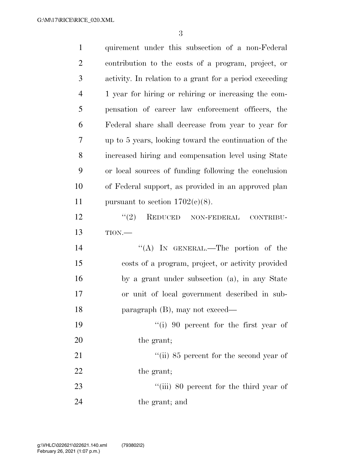| $\mathbf{1}$   | quirement under this subsection of a non-Federal        |
|----------------|---------------------------------------------------------|
| $\overline{2}$ | contribution to the costs of a program, project, or     |
| 3              | activity. In relation to a grant for a period exceeding |
| $\overline{4}$ | 1 year for hiring or rehiring or increasing the com-    |
| 5              | pensation of career law enforcement officers, the       |
| 6              | Federal share shall decrease from year to year for      |
| 7              | up to 5 years, looking toward the continuation of the   |
| 8              | increased hiring and compensation level using State     |
| 9              | or local sources of funding following the conclusion    |
| 10             | of Federal support, as provided in an approved plan     |
| 11             | pursuant to section $1702(c)(8)$ .                      |
| 12             | (2)<br>REDUCED NON-FEDERAL<br>CONTRIBU-                 |
| 13             | TION.                                                   |
| 14             | "(A) IN GENERAL.—The portion of the                     |
| 15             | costs of a program, project, or activity provided       |
| 16             | by a grant under subsection (a), in any State           |
| 17             | or unit of local government described in sub-           |
| 18             | paragraph $(B)$ , may not exceed—                       |
| 19             | $``(i)$ 90 percent for the first year of                |
| 20             | the grant;                                              |
| 21             | "(ii) 85 percent for the second year of                 |
| 22             | the grant;                                              |
| 23             | "(iii) 80 percent for the third year of                 |
| 24             | the grant; and                                          |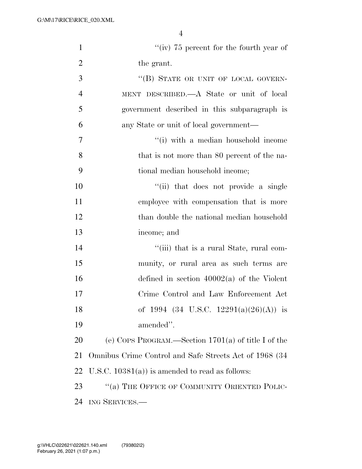| $\mathbf{1}$   | "(iv) $75$ percent for the fourth year of              |
|----------------|--------------------------------------------------------|
| $\overline{2}$ | the grant.                                             |
| 3              | "(B) STATE OR UNIT OF LOCAL GOVERN-                    |
| $\overline{4}$ | MENT DESCRIBED.—A State or unit of local               |
| 5              | government described in this subparagraph is           |
| 6              | any State or unit of local government-                 |
| 7              | "(i) with a median household income                    |
| 8              | that is not more than 80 percent of the na-            |
| 9              | tional median household income;                        |
| 10             | "(ii) that does not provide a single                   |
| 11             | employee with compensation that is more                |
| 12             | than double the national median household              |
| 13             | income; and                                            |
| 14             | "(iii) that is a rural State, rural com-               |
| 15             | munity, or rural area as such terms are                |
| 16             | defined in section $40002(a)$ of the Violent           |
| 17             | Crime Control and Law Enforcement Act                  |
| 18             | of 1994 (34 U.S.C. 12291(a)(26)(A)) is                 |
| 19             | amended".                                              |
| 20             | (e) COPS PROGRAM.—Section $1701(a)$ of title I of the  |
| 21             | Omnibus Crime Control and Safe Streets Act of 1968 (34 |
| 22             | U.S.C. $10381(a)$ is amended to read as follows:       |
| 23             | "(a) THE OFFICE OF COMMUNITY ORIENTED POLIC-           |
| 24             | ING SERVICES.                                          |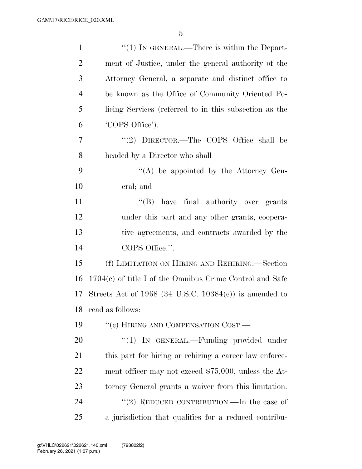| $\mathbf{1}$   | $\lq(1)$ In GENERAL.—There is within the Depart-           |
|----------------|------------------------------------------------------------|
| $\overline{2}$ | ment of Justice, under the general authority of the        |
| 3              | Attorney General, a separate and distinct office to        |
| $\overline{4}$ | be known as the Office of Community Oriented Po-           |
| 5              | licing Services (referred to in this subsection as the     |
| 6              | 'COPS Office').                                            |
| 7              | "(2) $DIRECTOR$ . The COPS Office shall be                 |
| 8              | headed by a Director who shall—                            |
| 9              | "(A) be appointed by the Attorney Gen-                     |
| 10             | eral; and                                                  |
| 11             | "(B) have final authority over grants                      |
| 12             | under this part and any other grants, coopera-             |
| 13             | tive agreements, and contracts awarded by the              |
| 14             | COPS Office.".                                             |
| 15             | (f) LIMITATION ON HIRING AND REHIRING.—Section             |
| 16             | $1704(c)$ of title I of the Omnibus Crime Control and Safe |
| 17             | Streets Act of 1968 (34 U.S.C. 10384 $(c)$ ) is amended to |
| 18             | read as follows:                                           |
| 19             | "(c) HIRING AND COMPENSATION COST.—                        |
| 20             | "(1) IN GENERAL.—Funding provided under                    |
| 21             | this part for hiring or rehiring a career law enforce-     |
| 22             | ment officer may not exceed $$75,000$ , unless the At-     |
| 23             | torney General grants a waiver from this limitation.       |
| 24             | "(2) REDUCED CONTRIBUTION.—In the case of                  |
| 25             | a jurisdiction that qualifies for a reduced contribu-      |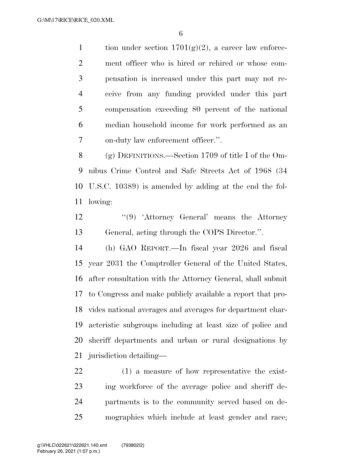1 tion under section  $1701(g)(2)$ , a career law enforce- ment officer who is hired or rehired or whose com- pensation is increased under this part may not re- ceive from any funding provided under this part compensation exceeding 80 percent of the national median household income for work performed as an on-duty law enforcement officer.''.

 (g) DEFINITIONS.—Section 1709 of title I of the Om- nibus Crime Control and Safe Streets Act of 1968 (34 U.S.C. 10389) is amended by adding at the end the fol-lowing:

12 ''(9) 'Attorney General' means the Attorney General, acting through the COPS Director.''.

 (h) GAO REPORT.—In fiscal year 2026 and fiscal year 2031 the Comptroller General of the United States, after consultation with the Attorney General, shall submit to Congress and make publicly available a report that pro- vides national averages and averages for department char- acteristic subgroups including at least size of police and sheriff departments and urban or rural designations by jurisdiction detailing—

 (1) a measure of how representative the exist- ing workforce of the average police and sheriff de- partments is to the community served based on de-mographics which include at least gender and race;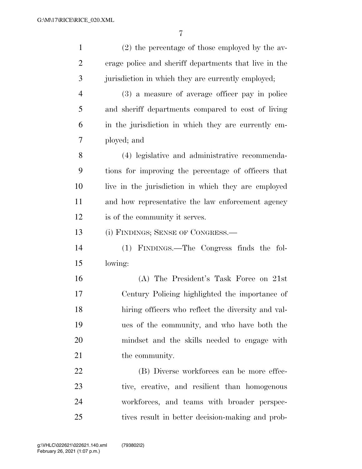| $\mathbf{1}$   | $(2)$ the percentage of those employed by the av-     |
|----------------|-------------------------------------------------------|
| $\overline{2}$ | erage police and sheriff departments that live in the |
| 3              | jurisdiction in which they are currently employed;    |
| $\overline{4}$ | (3) a measure of average officer pay in police        |
| 5              | and sheriff departments compared to cost of living    |
| 6              | in the jurisdiction in which they are currently em-   |
| 7              | ployed; and                                           |
| 8              | (4) legislative and administrative recommenda-        |
| 9              | tions for improving the percentage of officers that   |
| 10             | live in the jurisdiction in which they are employed   |
| 11             | and how representative the law enforcement agency     |
| 12             | is of the community it serves.                        |
| 13             | (i) FINDINGS; SENSE OF CONGRESS.—                     |
| 14             | (1) FINDINGS.—The Congress finds the fol-             |
| 15             | lowing:                                               |
| 16             | (A) The President's Task Force on 21st                |
| 17             | Century Policing highlighted the importance of        |
| 18             | hiring officers who reflect the diversity and val-    |
| 19             | ues of the community, and who have both the           |
| 20             | mindset and the skills needed to engage with          |
| 21             | the community.                                        |
| 22             | (B) Diverse workforces can be more effec-             |
| 23             | tive, creative, and resilient than homogenous         |
| 24             | workforces, and teams with broader perspec-           |
| 25             | tives result in better decision-making and prob-      |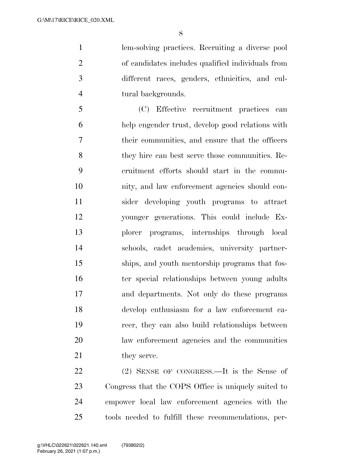lem-solving practices. Recruiting a diverse pool of candidates includes qualified individuals from different races, genders, ethnicities, and cul-tural backgrounds.

 (C) Effective recruitment practices can help engender trust, develop good relations with their communities, and ensure that the officers they hire can best serve those communities. Re- cruitment efforts should start in the commu- nity, and law enforcement agencies should con- sider developing youth programs to attract younger generations. This could include Ex- plorer programs, internships through local schools, cadet academies, university partner- ships, and youth mentorship programs that fos-16 ter special relationships between young adults and departments. Not only do these programs develop enthusiasm for a law enforcement ca- reer, they can also build relationships between law enforcement agencies and the communities 21 they serve.

 (2) SENSE OF CONGRESS.—It is the Sense of Congress that the COPS Office is uniquely suited to empower local law enforcement agencies with the tools needed to fulfill these recommendations, per